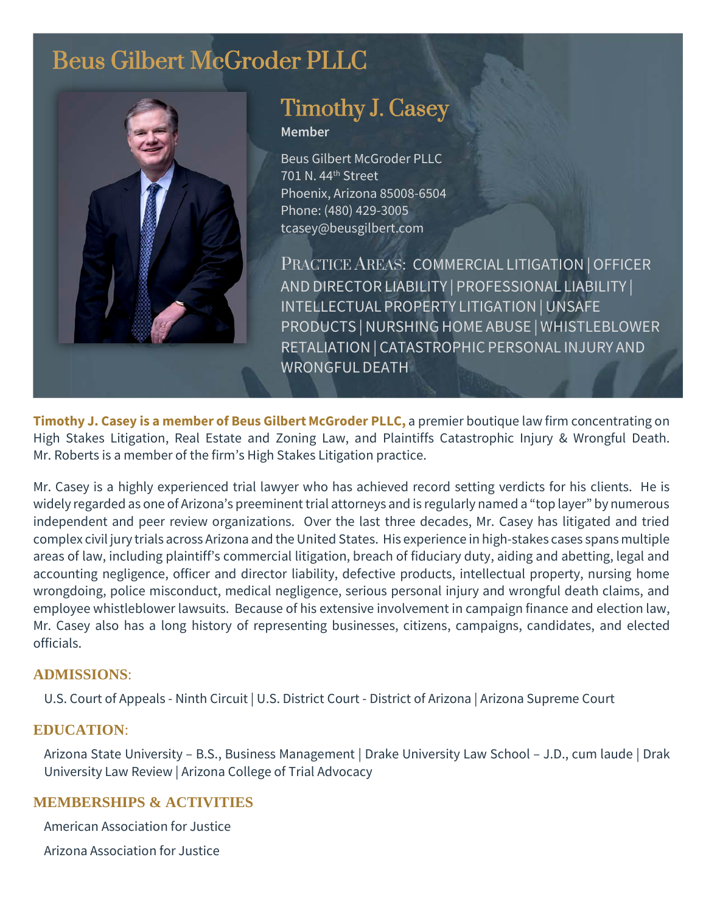# Beus Gilbert McGroder PLLC



# Timothy J. Casey

**Member**

Beus Gilbert McGroder PLLC 701 N. 44th Street Phoenix, Arizona 85008-6504 Phone: (480) 429-3005 tcasey@beusgilbert.com

PRACTICE AREAS: COMMERCIAL LITIGATION |OFFICER AND DIRECTOR LIABILITY | PROFESSIONAL LIABILITY | INTELLECTUAL PROPERTY LITIGATION |UNSAFE PRODUCTS | NURSHING HOME ABUSE | WHISTLEBLOWER RETALIATION | CATASTROPHIC PERSONAL INJURY AND WRONGFULDEATH

**Timothy J. Casey is a member of Beus Gilbert McGroder PLLC,** a premier boutique law firm concentrating on High Stakes Litigation, Real Estate and Zoning Law, and Plaintiffs Catastrophic Injury & Wrongful Death. Mr. Roberts is a member of the firm's High Stakes Litigation practice.

Mr. Casey is a highly experienced trial lawyer who has achieved record setting verdicts for his clients. He is widely regarded as one of Arizona's preeminent trial attorneys and is regularly named a "top layer" by numerous independent and peer review organizations. Over the last three decades, Mr. Casey has litigated and tried complex civil jury trials across Arizona and the United States. His experience in high-stakes cases spans multiple areas of law, including plaintiff's commercial litigation, breach of fiduciary duty, aiding and abetting, legal and accounting negligence, officer and director liability, defective products, intellectual property, nursing home wrongdoing, police misconduct, medical negligence, serious personal injury and wrongful death claims, and employee whistleblower lawsuits. Because of his extensive involvement in campaign finance and election law, Mr. Casey also has a long history of representing businesses, citizens, campaigns, candidates, and elected officials.

#### **ADMISSIONS**:

U.S. Court of Appeals - Ninth Circuit | U.S. District Court - District of Arizona | Arizona Supreme Court

#### **EDUCATION**:

Arizona State University – B.S., Business Management | Drake University Law School – J.D., cum laude | Drak University Law Review | Arizona College of Trial Advocacy

#### **MEMBERSHIPS & ACTIVITIES**

American Association for Justice

Arizona Association for Justice